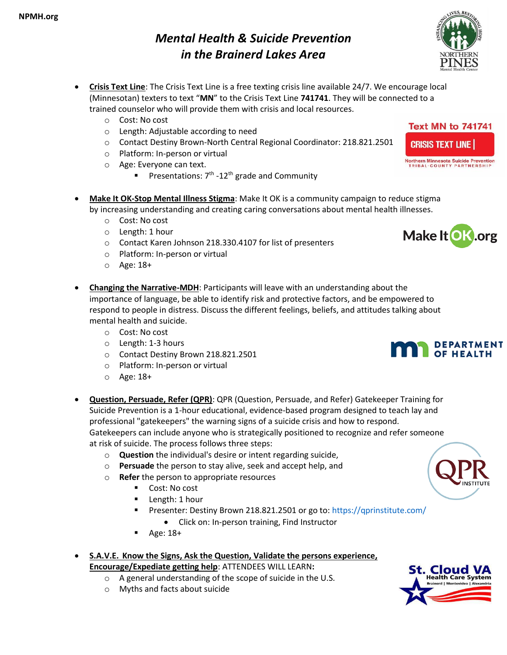- **Crisis Text Line**: The Crisis Text Line is a free texting crisis line available 24/7. We encourage local (Minnesotan) texters to text "**MN**" to the Crisis Text Line **741741**. They will be connected to a trained counselor who will provide them with crisis and local resources.
	- o Cost: No cost
	- o Length: Adjustable according to need
	- o Contact Destiny Brown-North Central Regional Coordinator: 218.821.2501
	- o Platform: In-person or virtual
	- o Age: Everyone can text.
		- **Pesentations:**  $7<sup>th</sup>$  -12<sup>th</sup> grade and Community
- **Make It OK-Stop Mental Illness Stigma**: Make It OK is a community campaign to reduce stigma by increasing understanding and creating caring conversations about mental health illnesses.
	- o Cost: No cost
	- o Length: 1 hour
	- o Contact Karen Johnson 218.330.4107 for list of presenters
	- o Platform: In-person or virtual
	- o Age: 18+
- **Changing the Narrative-MDH**: Participants will leave with an understanding about the importance of language, be able to identify risk and protective factors, and be empowered to respond to people in distress. Discuss the different feelings, beliefs, and attitudes talking about mental health and suicide.
	- o Cost: No cost
	- o Length: 1-3 hours
	- o Contact Destiny Brown 218.821.2501
	- o Platform: In-person or virtual
	- o Age: 18+
- **Question, Persuade, Refer (QPR)**: QPR (Question, Persuade, and Refer) Gatekeeper Training for Suicide Prevention is a 1-hour educational, evidence-based program designed to teach lay and professional "gatekeepers" the warning signs of a suicide crisis and how to respond. Gatekeepers can include anyone who is strategically positioned to recognize and refer someone at risk of suicide. The process follows three steps:
	- o **Question** the individual's desire or intent regarding suicide,
	- o **Persuade** the person to stay alive, seek and accept help, and
	- o **Refer** the person to appropriate resources
		- Cost: No cost
		- Length: 1 hour
		- Presenter: Destiny Brown 218.821.2501 or go to: https://gprinstitute.com/
			- Click on: In-person training, Find Instructor
		- Age: 18+
- **S.A.V.E. Know the Signs, Ask the Question, Validate the persons experience, Encourage/Expediate getting help**: ATTENDEES WILL LEARN**:**
	- o A general understanding of the scope of suicide in the U.S.
	- o Myths and facts about suicide





Northern Minnesota Suicide Prevention<br>TRIBAL-COUNTY PARTNERSHIP

**Text MN to 741741** 

**CRISIS TEXT LINE |** 







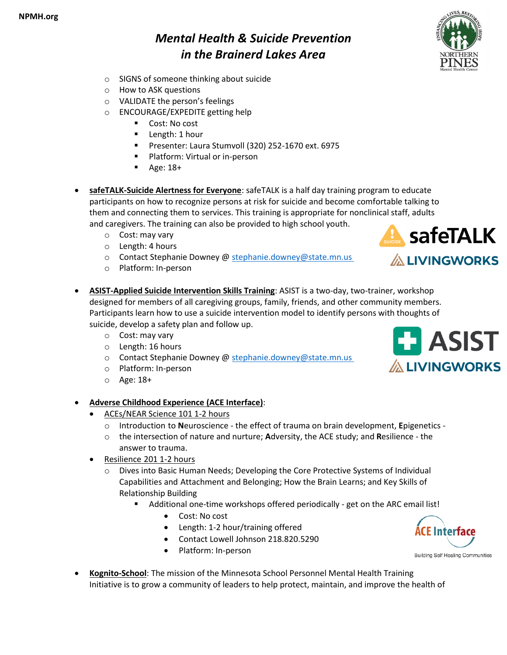- o SIGNS of someone thinking about suicide
- o How to ASK questions
- o VALIDATE the person's feelings
- o ENCOURAGE/EXPEDITE getting help
	- Cost: No cost
	- Length: 1 hour
	- Presenter: Laura Stumvoll (320) 252-1670 ext. 6975
	- Platform: Virtual or in-person
	- Age: 18+
- **safeTALK-Suicide Alertness for Everyone**: safeTALK is a half day training program to educate participants on how to recognize persons at risk for suicide and become comfortable talking to them and connecting them to services. This training is appropriate for nonclinical staff, adults and caregivers. The training can also be provided to high school youth.
	- o Cost: may vary
	- o Length: 4 hours
	- o Contact Stephanie Downey @ [stephanie.downey@state.mn.us](mailto:stephanie.downey@state.mn.us)
	- o Platform: In-person



- **ASIST-Applied Suicide Intervention Skills Training**: ASIST is a two-day, two-trainer, workshop designed for members of all caregiving groups, family, friends, and other community members. Participants learn how to use a suicide intervention model to identify persons with thoughts of suicide, develop a safety plan and follow up.
	- o Cost: may vary
	- o Length: 16 hours
	- o Contact Stephanie Downey @ [stephanie.downey@state.mn.us](mailto:stephanie.downey@state.mn.us)
	- o Platform: In-person
	- o Age: 18+
- **Adverse Childhood Experience (ACE Interface)**:
	- ACEs/NEAR Science 101 1-2 hours
		- o Introduction to **N**euroscience the effect of trauma on brain development, **E**pigenetics -
		- o the intersection of nature and nurture; **A**dversity, the ACE study; and **R**esilience the answer to trauma.
	- Resilience 201 1-2 hours
		- o Dives into Basic Human Needs; Developing the Core Protective Systems of Individual Capabilities and Attachment and Belonging; How the Brain Learns; and Key Skills of Relationship Building
			- Additional one-time workshops offered periodically get on the ARC email list!
				- Cost: No cost
				- Length: 1-2 hour/training offered
				- Contact Lowell Johnson 218.820.5290
				- Platform: In-person



**Building Self Healing Communities** 

• **Kognito-School**: The mission of the Minnesota School Personnel Mental Health Training Initiative is to grow a community of leaders to help protect, maintain, and improve the health of



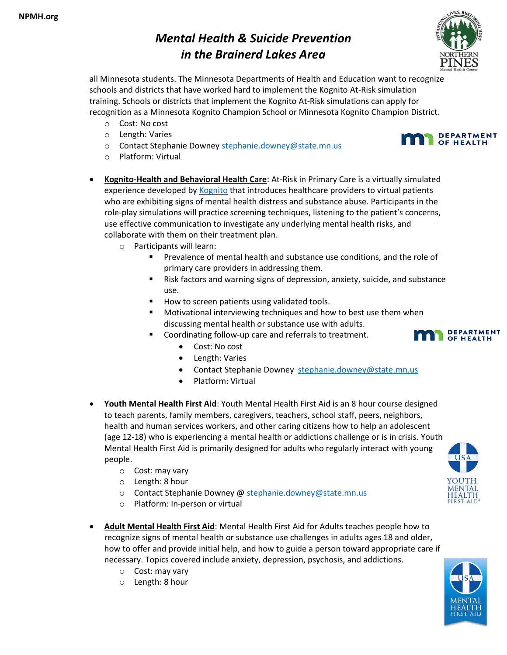

all Minnesota students. The Minnesota Departments of Health and Education want to recognize schools and districts that have worked hard to implement the Kognito At-Risk simulation training. Schools or districts that implement the Kognito At-Risk simulations can apply for recognition as a Minnesota Kognito Champion School or Minnesota Kognito Champion District.

- o Cost: No cost
- o Length: Varies
- o Length: Varies<br>
o Contact Stephanie Downe[y stephanie.downey@state.mn.us](mailto:stephanie.downey@state.mn.us)<br> **OF HEALTH**
- o Platform: Virtual
- **Kognito-Health and Behavioral Health Care**: At-Risk in Primary Care is a virtually simulated experience developed by [Kognito](https://lnks.gd/l/eyJhbGciOiJIUzI1NiJ9.eyJidWxsZXRpbl9saW5rX2lkIjoxMTQsInVyaSI6ImJwMjpjbGljayIsImJ1bGxldGluX2lkIjoiMjAyMjA0MDQuNTU4ODk3MTEiLCJ1cmwiOiJodHRwczovL2tvZ25pdG8uY29tLyJ9.VqUSb88ta9a_S6itPCY9GNxbEUPiX0u0cVny6WvI0tE/s/1191199501/br/129257208384-l) that introduces healthcare providers to virtual patients who are exhibiting signs of mental health distress and substance abuse. Participants in the role-play simulations will practice screening techniques, listening to the patient's concerns, use effective communication to investigate any underlying mental health risks, and collaborate with them on their treatment plan.
	- o Participants will learn:
		- Prevalence of mental health and substance use conditions, and the role of primary care providers in addressing them.
		- Risk factors and warning signs of depression, anxiety, suicide, and substance use.
		- How to screen patients using validated tools.
		- Motivational interviewing techniques and how to best use them when discussing mental health or substance use with adults.
		- Coordinating follow-up care and referrals to treatment.
			- Cost: No cost
			- Length: Varies
			- Contact Stephanie Downey [stephanie.downey@state.mn.us](mailto:stephanie.downey@state.mn.us)
			- Platform: Virtual
- **Youth Mental Health First Aid**: Youth Mental Health First Aid is an 8 hour course designed to teach parents, family members, caregivers, teachers, school staff, peers, neighbors, health and human services workers, and other caring citizens how to help an adolescent (age 12-18) who is experiencing a mental health or addictions challenge or is in crisis. Youth Mental Health First Aid is primarily designed for adults who regularly interact with young people.
	- o Cost: may vary
	- o Length: 8 hour
	- o Contact Stephanie Downey @ [stephanie.downey@state.mn.us](mailto:stephanie.downey@state.mn.us)
	- o Platform: In-person or virtual
- **Adult Mental Health First Aid**: Mental Health First Aid for Adults teaches people how to recognize signs of mental health or substance use challenges in adults ages 18 and older, how to offer and provide initial help, and how to guide a person toward appropriate care if necessary. Topics covered include anxiety, depression, psychosis, and addictions.
	- o Cost: may vary
	- o Length: 8 hour